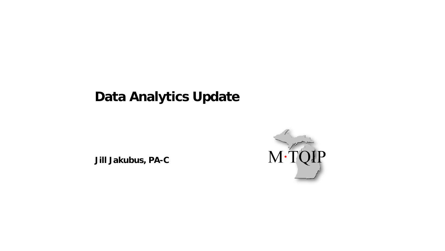### **Data Analytics Update**

**Jill Jakubus, PA-C**

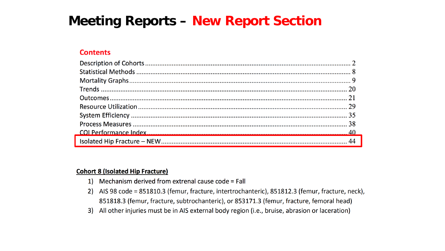#### **Meeting Reports - New Report Section**

#### **Contents**

#### **Cohort 8 (Isolated Hip Fracture)**

- 1) Mechanism derived from extrenal cause code = Fall
- 2) AIS 98 code = 851810.3 (femur, fracture, intertrochanteric), 851812.3 (femur, fracture, neck), 851818.3 (femur, fracture, subtrochanteric), or 853171.3 (femur, fracture, femoral head)
- $3)$ All other injuries must be in AIS external body region (i.e., bruise, abrasion or laceration)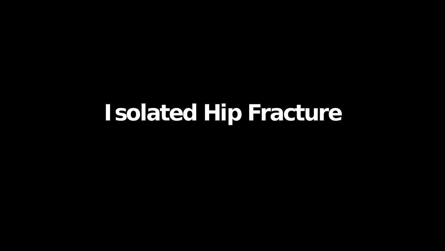# **Isolated Hip Fracture**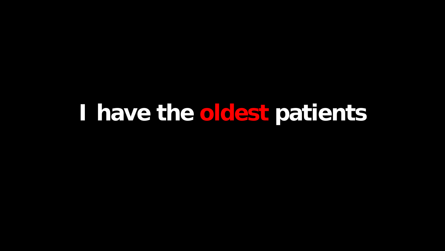## **I have the oldest patients**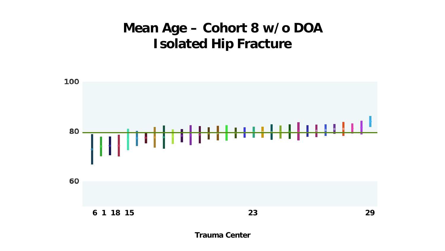### **Mean Age – Cohort 8 w/o DOA Isolated Hip Fracture**



**Trauma Center**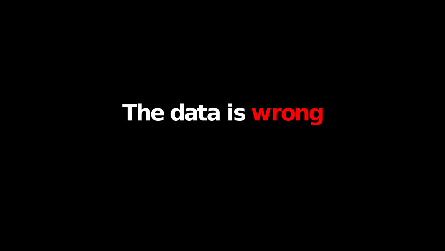## **The data is wrong**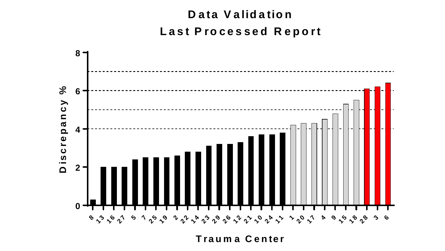### Data Validation Last Processed Report



Trauma Center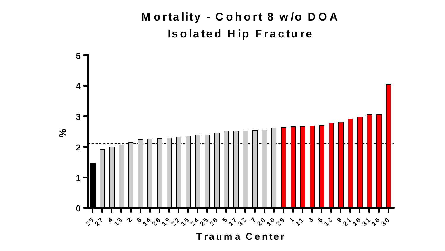#### **M ortality - C ohort 8 w /o D O A Isolated H ip Fracture**

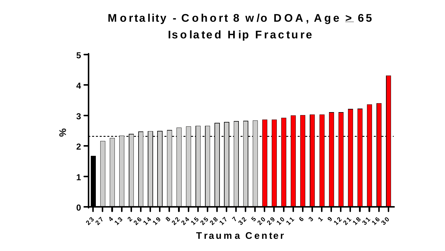#### Mortality - Cohort 8 w/o  $DOA$ ,  $Age \geq 65$ **Isolated H ip Fracture**

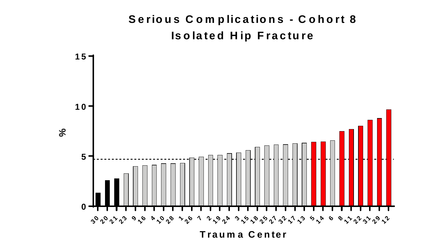#### Serious Complications - Cohort 8 **Isolated Hip Fracture**

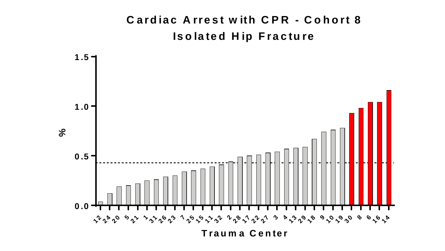#### **Cardiac Arrest with CPR - Cohort 8 Isolated Hip Fracture**

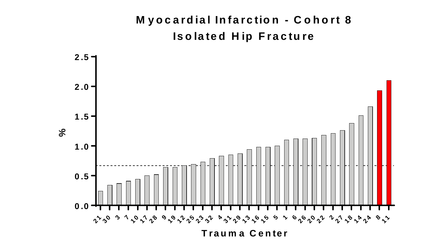#### **M yocardial Infarction - C ohort 8 Isolated H ip Fracture**

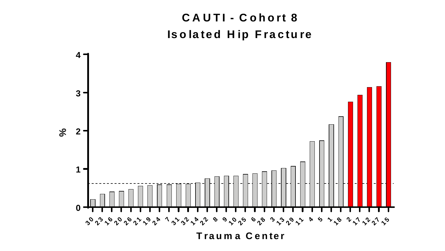### **C A U TI - C ohort 8 Isolated H ip Fracture**

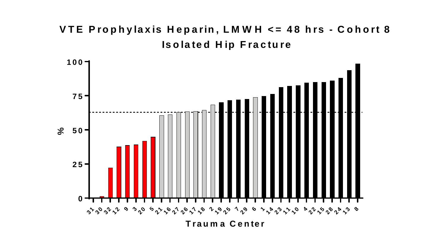#### **VTE Prophylaxis H eparin, LM W H <= 48 hrs - C ohort 8 Isolated H ip Fracture**